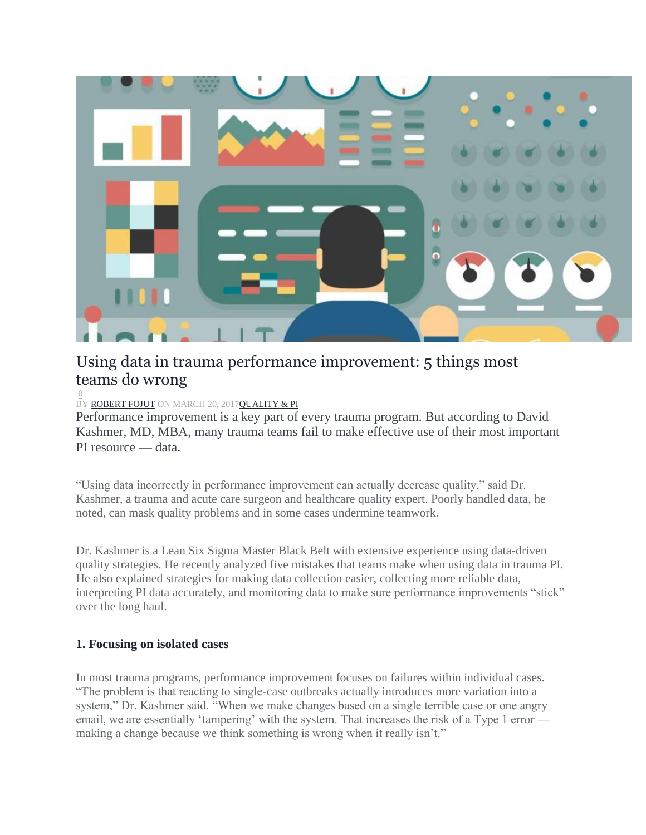

# Using data in trauma performance improvement: 5 things most teams do wrong

#### $\overline{0}$  $\overline{0}$  $\overline{0}$ BY [ROBERT](http://trauma-news.com/author/robert/) FOJUT ON MARCH 20, 201[7QUALITY](http://trauma-news.com/category/quality-and-performance-improvement/) & PI

Performance improvement is a key part of every trauma program. But according to David Kashmer, MD, MBA, many trauma teams fail to make effective use of their most important PI resource — data.

"Using data incorrectly in performance improvement can actually decrease quality," said Dr. Kashmer, a trauma and acute care surgeon and healthcare quality expert. Poorly handled data, he noted, can mask quality problems and in some cases undermine teamwork.

Dr. Kashmer is a Lean Six Sigma Master Black Belt with extensive experience using data-driven quality strategies. He recently analyzed five mistakes that teams make when using data in trauma PI. He also explained strategies for making data collection easier, collecting more reliable data, interpreting PI data accurately, and monitoring data to make sure performance improvements "stick" over the long haul.

# **1. Focusing on isolated cases**

In most trauma programs, performance improvement focuses on failures within individual cases. "The problem is that reacting to single-case outbreaks actually introduces more variation into a system," Dr. Kashmer said. "When we make changes based on a single terrible case or one angry email, we are essentially 'tampering' with the system. That increases the risk of a Type 1 error making a change because we think something is wrong when it really isn't."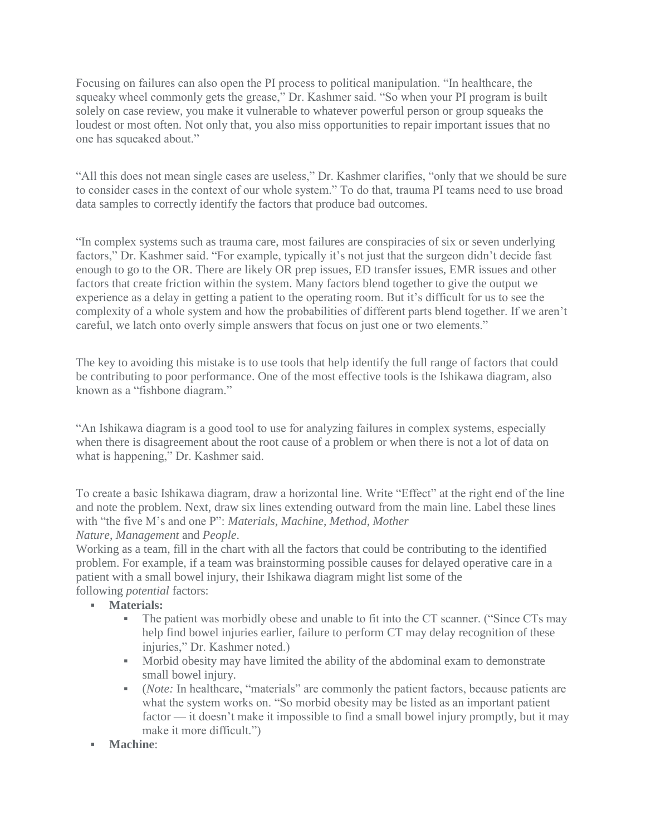Focusing on failures can also open the PI process to political manipulation. "In healthcare, the squeaky wheel commonly gets the grease," Dr. Kashmer said. "So when your PI program is built solely on case review, you make it vulnerable to whatever powerful person or group squeaks the loudest or most often. Not only that, you also miss opportunities to repair important issues that no one has squeaked about."

"All this does not mean single cases are useless," Dr. Kashmer clarifies, "only that we should be sure to consider cases in the context of our whole system." To do that, trauma PI teams need to use broad data samples to correctly identify the factors that produce bad outcomes.

"In complex systems such as trauma care, most failures are conspiracies of six or seven underlying factors," Dr. Kashmer said. "For example, typically it's not just that the surgeon didn't decide fast enough to go to the OR. There are likely OR prep issues, ED transfer issues, EMR issues and other factors that create friction within the system. Many factors blend together to give the output we experience as a delay in getting a patient to the operating room. But it's difficult for us to see the complexity of a whole system and how the probabilities of different parts blend together. If we aren't careful, we latch onto overly simple answers that focus on just one or two elements."

The key to avoiding this mistake is to use tools that help identify the full range of factors that could be contributing to poor performance. One of the most effective tools is the Ishikawa diagram, also known as a "fishbone diagram."

"An Ishikawa diagram is a good tool to use for analyzing failures in complex systems, especially when there is disagreement about the root cause of a problem or when there is not a lot of data on what is happening," Dr. Kashmer said.

To create a basic Ishikawa diagram, draw a horizontal line. Write "Effect" at the right end of the line and note the problem. Next, draw six lines extending outward from the main line. Label these lines with "the five M's and one P": *Materials*, *Machine*, *Method*, *Mother Nature*, *Management* and *People*.

Working as a team, fill in the chart with all the factors that could be contributing to the identified problem. For example, if a team was brainstorming possible causes for delayed operative care in a patient with a small bowel injury, their Ishikawa diagram might list some of the following *potential* factors:

- **Materials:**
	- The patient was morbidly obese and unable to fit into the CT scanner. ("Since CTs may help find bowel injuries earlier, failure to perform CT may delay recognition of these injuries," Dr. Kashmer noted.)
	- Morbid obesity may have limited the ability of the abdominal exam to demonstrate small bowel injury.
	- (*Note:* In healthcare, "materials" are commonly the patient factors, because patients are what the system works on. "So morbid obesity may be listed as an important patient factor — it doesn't make it impossible to find a small bowel injury promptly, but it may make it more difficult.")
	- **Machine**: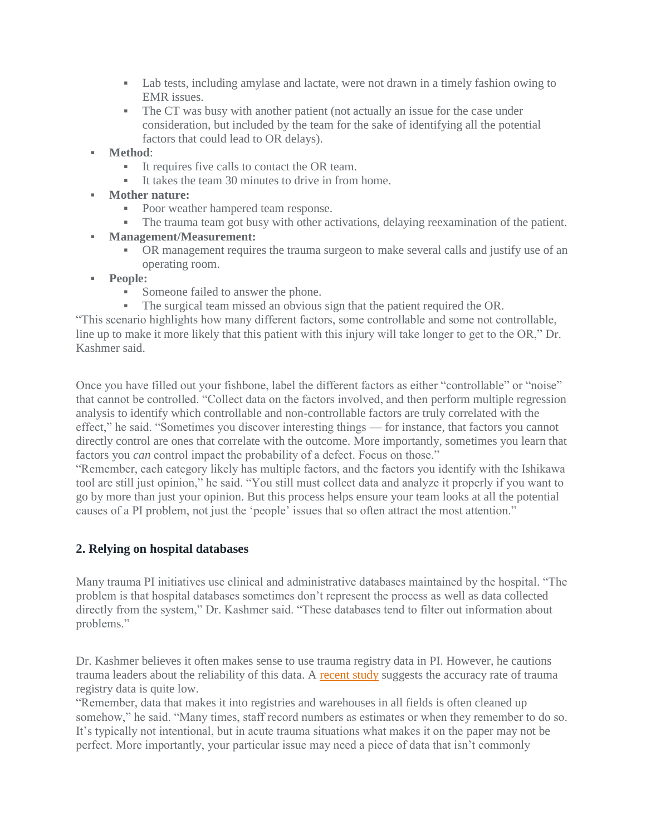- Lab tests, including amylase and lactate, were not drawn in a timely fashion owing to EMR issues.
- The CT was busy with another patient (not actually an issue for the case under consideration, but included by the team for the sake of identifying all the potential factors that could lead to OR delays).
- **Method**:
	- It requires five calls to contact the OR team.
	- It takes the team 30 minutes to drive in from home.
- **Mother nature:**
	- Poor weather hampered team response.
	- The trauma team got busy with other activations, delaying reexamination of the patient.
- **Management/Measurement:**
	- OR management requires the trauma surgeon to make several calls and justify use of an operating room.
- **People:**
	- Someone failed to answer the phone.
	- The surgical team missed an obvious sign that the patient required the OR.

"This scenario highlights how many different factors, some controllable and some not controllable, line up to make it more likely that this patient with this injury will take longer to get to the OR," Dr. Kashmer said.

Once you have filled out your fishbone, label the different factors as either "controllable" or "noise" that cannot be controlled. "Collect data on the factors involved, and then perform multiple regression analysis to identify which controllable and non-controllable factors are truly correlated with the effect," he said. "Sometimes you discover interesting things — for instance, that factors you cannot directly control are ones that correlate with the outcome. More importantly, sometimes you learn that factors you *can* control impact the probability of a defect. Focus on those."

"Remember, each category likely has multiple factors, and the factors you identify with the Ishikawa tool are still just opinion," he said. "You still must collect data and analyze it properly if you want to go by more than just your opinion. But this process helps ensure your team looks at all the potential causes of a PI problem, not just the 'people' issues that so often attract the most attention."

# **2. Relying on hospital databases**

Many trauma PI initiatives use clinical and administrative databases maintained by the hospital. "The problem is that hospital databases sometimes don't represent the process as well as data collected directly from the system," Dr. Kashmer said. "These databases tend to filter out information about problems."

Dr. Kashmer believes it often makes sense to use trauma registry data in PI. However, he cautions trauma leaders about the reliability of this data. A [recent](http://trauma-news.com/2016/01/with-64-accuracy-in-trauma-data-how-can-we-make-trauma-registries-more-reliable/) study suggests the accuracy rate of trauma registry data is quite low.

"Remember, data that makes it into registries and warehouses in all fields is often cleaned up somehow," he said. "Many times, staff record numbers as estimates or when they remember to do so. It's typically not intentional, but in acute trauma situations what makes it on the paper may not be perfect. More importantly, your particular issue may need a piece of data that isn't commonly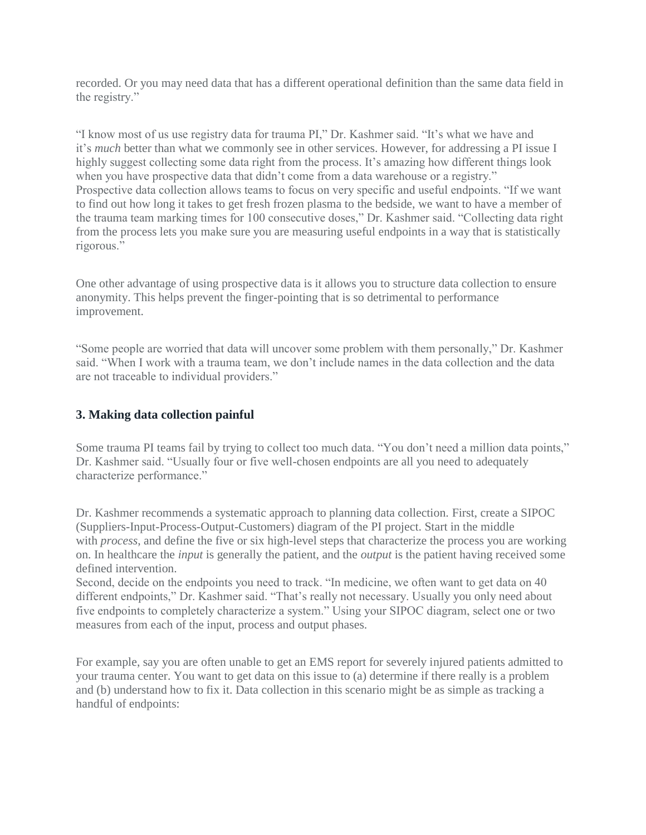recorded. Or you may need data that has a different operational definition than the same data field in the registry."

"I know most of us use registry data for trauma PI," Dr. Kashmer said. "It's what we have and it's *much* better than what we commonly see in other services. However, for addressing a PI issue I highly suggest collecting some data right from the process. It's amazing how different things look when you have prospective data that didn't come from a data warehouse or a registry." Prospective data collection allows teams to focus on very specific and useful endpoints. "If we want to find out how long it takes to get fresh frozen plasma to the bedside, we want to have a member of the trauma team marking times for 100 consecutive doses," Dr. Kashmer said. "Collecting data right from the process lets you make sure you are measuring useful endpoints in a way that is statistically rigorous."

One other advantage of using prospective data is it allows you to structure data collection to ensure anonymity. This helps prevent the finger-pointing that is so detrimental to performance improvement.

"Some people are worried that data will uncover some problem with them personally," Dr. Kashmer said. "When I work with a trauma team, we don't include names in the data collection and the data are not traceable to individual providers."

# **3. Making data collection painful**

Some trauma PI teams fail by trying to collect too much data. "You don't need a million data points," Dr. Kashmer said. "Usually four or five well-chosen endpoints are all you need to adequately characterize performance."

Dr. Kashmer recommends a systematic approach to planning data collection. First, create a SIPOC (Suppliers-Input-Process-Output-Customers) diagram of the PI project. Start in the middle with *process*, and define the five or six high-level steps that characterize the process you are working on. In healthcare the *input* is generally the patient, and the *output* is the patient having received some defined intervention.

Second, decide on the endpoints you need to track. "In medicine, we often want to get data on 40 different endpoints," Dr. Kashmer said. "That's really not necessary. Usually you only need about five endpoints to completely characterize a system." Using your SIPOC diagram, select one or two measures from each of the input, process and output phases.

For example, say you are often unable to get an EMS report for severely injured patients admitted to your trauma center. You want to get data on this issue to (a) determine if there really is a problem and (b) understand how to fix it. Data collection in this scenario might be as simple as tracking a handful of endpoints: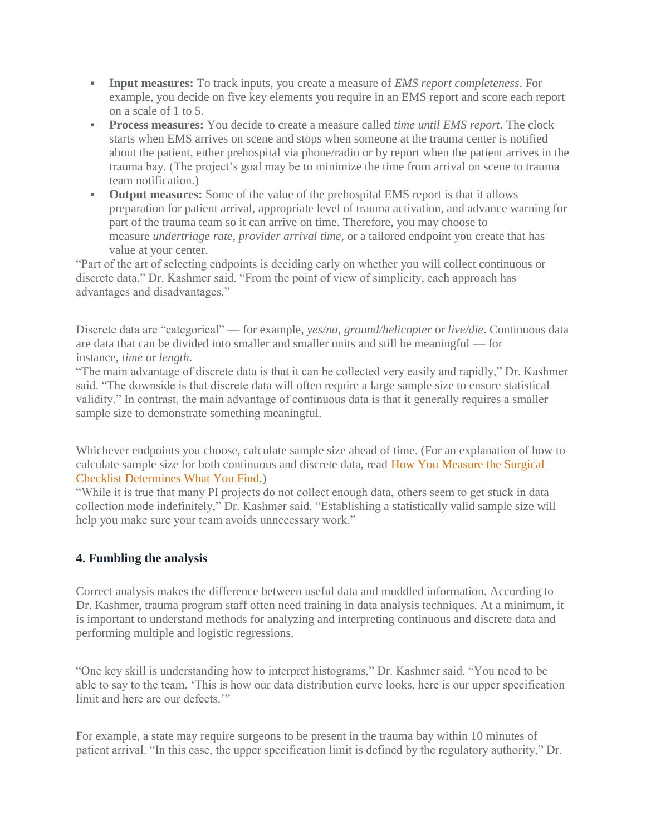- **Input measures:** To track inputs, you create a measure of *EMS report completeness*. For example, you decide on five key elements you require in an EMS report and score each report on a scale of 1 to 5.
- **Process measures:** You decide to create a measure called *time until EMS report*. The clock starts when EMS arrives on scene and stops when someone at the trauma center is notified about the patient, either prehospital via phone/radio or by report when the patient arrives in the trauma bay. (The project's goal may be to minimize the time from arrival on scene to trauma team notification.)
- **Output measures:** Some of the value of the prehospital EMS report is that it allows preparation for patient arrival, appropriate level of trauma activation, and advance warning for part of the trauma team so it can arrive on time. Therefore, you may choose to measure *undertriage rate*, *provider arrival time*, or a tailored endpoint you create that has value at your center.

"Part of the art of selecting endpoints is deciding early on whether you will collect continuous or discrete data," Dr. Kashmer said. "From the point of view of simplicity, each approach has advantages and disadvantages."

Discrete data are "categorical" — for example, *yes/no*, *ground/helicopter* or *live/die*. Continuous data are data that can be divided into smaller and smaller units and still be meaningful — for instance, *time* or *length*.

"The main advantage of discrete data is that it can be collected very easily and rapidly," Dr. Kashmer said. "The downside is that discrete data will often require a large sample size to ensure statistical validity." In contrast, the main advantage of continuous data is that it generally requires a smaller sample size to demonstrate something meaningful.

Whichever endpoints you choose, calculate sample size ahead of time. (For an explanation of how to calculate sample size for both continuous and discrete data, read How You [Measure](http://www.surgicalbusinessmodelinnovation.com/decision-analysis/how-you-measure-the-surgical-checklist-determines-what-you-find/) the Surgical Checklist [Determines](http://www.surgicalbusinessmodelinnovation.com/decision-analysis/how-you-measure-the-surgical-checklist-determines-what-you-find/) What You Find.)

"While it is true that many PI projects do not collect enough data, others seem to get stuck in data collection mode indefinitely," Dr. Kashmer said. "Establishing a statistically valid sample size will help you make sure your team avoids unnecessary work."

# **4. Fumbling the analysis**

Correct analysis makes the difference between useful data and muddled information. According to Dr. Kashmer, trauma program staff often need training in data analysis techniques. At a minimum, it is important to understand methods for analyzing and interpreting continuous and discrete data and performing multiple and logistic regressions.

"One key skill is understanding how to interpret histograms," Dr. Kashmer said. "You need to be able to say to the team, 'This is how our data distribution curve looks, here is our upper specification limit and here are our defects."

For example, a state may require surgeons to be present in the trauma bay within 10 minutes of patient arrival. "In this case, the upper specification limit is defined by the regulatory authority," Dr.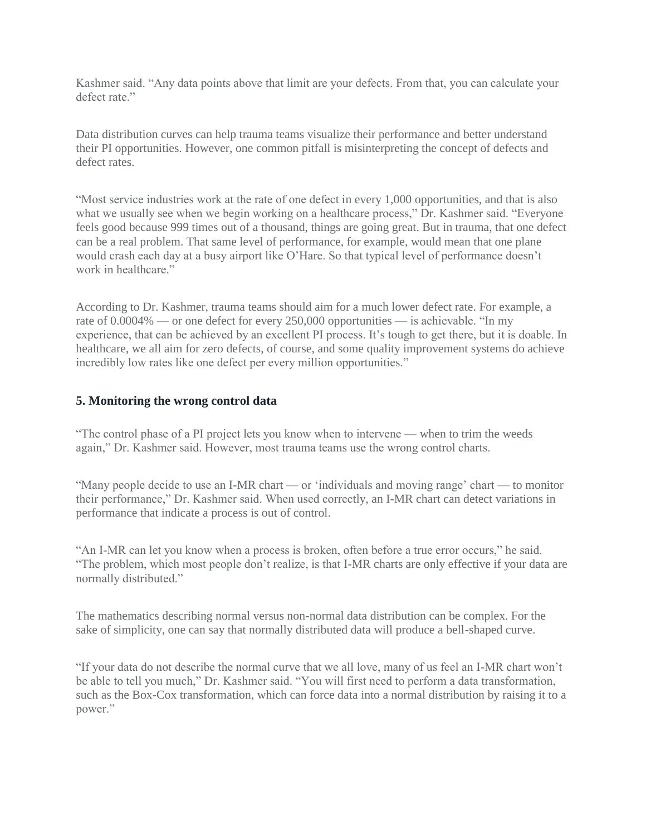Kashmer said. "Any data points above that limit are your defects. From that, you can calculate your defect rate."

Data distribution curves can help trauma teams visualize their performance and better understand their PI opportunities. However, one common pitfall is misinterpreting the concept of defects and defect rates.

"Most service industries work at the rate of one defect in every 1,000 opportunities, and that is also what we usually see when we begin working on a healthcare process," Dr. Kashmer said. "Everyone feels good because 999 times out of a thousand, things are going great. But in trauma, that one defect can be a real problem. That same level of performance, for example, would mean that one plane would crash each day at a busy airport like O'Hare. So that typical level of performance doesn't work in healthcare."

According to Dr. Kashmer, trauma teams should aim for a much lower defect rate. For example, a rate of 0.0004% — or one defect for every 250,000 opportunities — is achievable. "In my experience, that can be achieved by an excellent PI process. It's tough to get there, but it is doable. In healthcare, we all aim for zero defects, of course, and some quality improvement systems do achieve incredibly low rates like one defect per every million opportunities."

#### **5. Monitoring the wrong control data**

"The control phase of a PI project lets you know when to intervene — when to trim the weeds again," Dr. Kashmer said. However, most trauma teams use the wrong control charts.

"Many people decide to use an I-MR chart — or 'individuals and moving range' chart — to monitor their performance," Dr. Kashmer said. When used correctly, an I-MR chart can detect variations in performance that indicate a process is out of control.

"An I-MR can let you know when a process is broken, often before a true error occurs," he said. "The problem, which most people don't realize, is that I-MR charts are only effective if your data are normally distributed."

The mathematics describing normal versus non-normal data distribution can be complex. For the sake of simplicity, one can say that normally distributed data will produce a bell-shaped curve.

"If your data do not describe the normal curve that we all love, many of us feel an I-MR chart won't be able to tell you much," Dr. Kashmer said. "You will first need to perform a data transformation, such as the Box-Cox transformation, which can force data into a normal distribution by raising it to a power."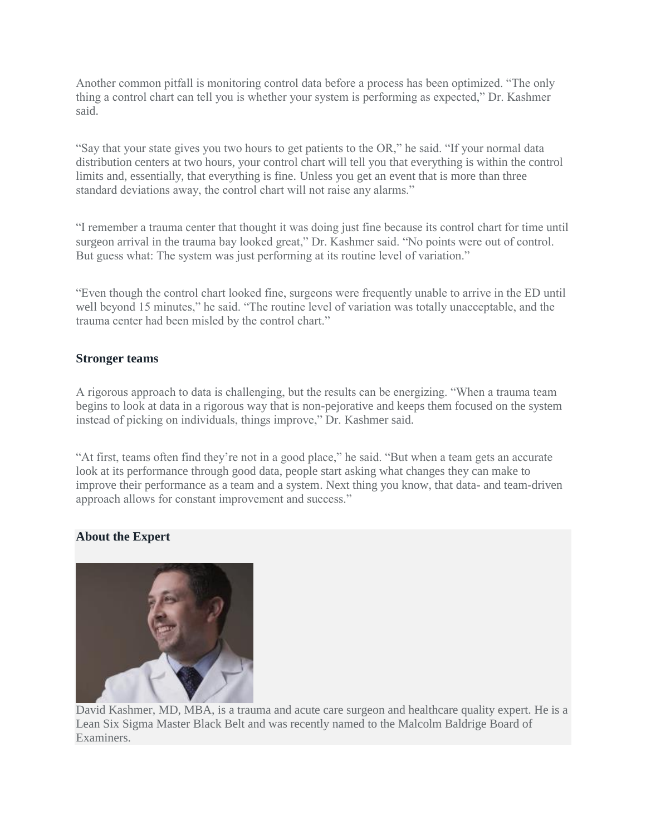Another common pitfall is monitoring control data before a process has been optimized. "The only thing a control chart can tell you is whether your system is performing as expected," Dr. Kashmer said.

"Say that your state gives you two hours to get patients to the OR," he said. "If your normal data distribution centers at two hours, your control chart will tell you that everything is within the control limits and, essentially, that everything is fine. Unless you get an event that is more than three standard deviations away, the control chart will not raise any alarms."

"I remember a trauma center that thought it was doing just fine because its control chart for time until surgeon arrival in the trauma bay looked great," Dr. Kashmer said. "No points were out of control. But guess what: The system was just performing at its routine level of variation."

"Even though the control chart looked fine, surgeons were frequently unable to arrive in the ED until well beyond 15 minutes," he said. "The routine level of variation was totally unacceptable, and the trauma center had been misled by the control chart."

#### **Stronger teams**

A rigorous approach to data is challenging, but the results can be energizing. "When a trauma team begins to look at data in a rigorous way that is non-pejorative and keeps them focused on the system instead of picking on individuals, things improve," Dr. Kashmer said.

"At first, teams often find they're not in a good place," he said. "But when a team gets an accurate look at its performance through good data, people start asking what changes they can make to improve their performance as a team and a system. Next thing you know, that data- and team-driven approach allows for constant improvement and success."

# **About the Expert**



David Kashmer, MD, MBA, is a trauma and acute care surgeon and healthcare quality expert. He is a Lean Six Sigma Master Black Belt and was recently named to the Malcolm Baldrige Board of Examiners.